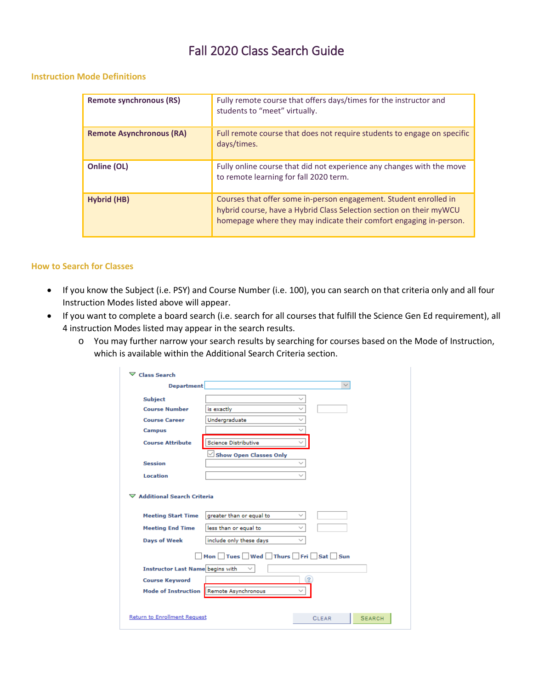# Fall 2020 Class Search Guide

#### **Instruction Mode Definitions**

| <b>Remote synchronous (RS)</b>  | Fully remote course that offers days/times for the instructor and<br>students to "meet" virtually.                                                                                                             |
|---------------------------------|----------------------------------------------------------------------------------------------------------------------------------------------------------------------------------------------------------------|
| <b>Remote Asynchronous (RA)</b> | Full remote course that does not require students to engage on specific<br>days/times.                                                                                                                         |
| Online (OL)                     | Fully online course that did not experience any changes with the move<br>to remote learning for fall 2020 term.                                                                                                |
| Hybrid (HB)                     | Courses that offer some in-person engagement. Student enrolled in<br>hybrid course, have a Hybrid Class Selection section on their myWCU<br>homepage where they may indicate their comfort engaging in-person. |

#### **How to Search for Classes**

- If you know the Subject (i.e. PSY) and Course Number (i.e. 100), you can search on that criteria only and all four Instruction Modes listed above will appear.
- If you want to complete a board search (i.e. search for all courses that fulfill the Science Gen Ed requirement), all 4 instruction Modes listed may appear in the search results.
	- o You may further narrow your search results by searching for courses based on the Mode of Instruction, which is available within the Additional Search Criteria section.

| $\nabla$ Class Search                                     |                                |                               |  |  |  |  |  |  |  |  |  |  |
|-----------------------------------------------------------|--------------------------------|-------------------------------|--|--|--|--|--|--|--|--|--|--|
| <b>Department</b>                                         |                                | $\checkmark$                  |  |  |  |  |  |  |  |  |  |  |
| <b>Subject</b>                                            |                                |                               |  |  |  |  |  |  |  |  |  |  |
| <b>Course Number</b>                                      | is exactly                     |                               |  |  |  |  |  |  |  |  |  |  |
| <b>Course Career</b>                                      | Undergraduate                  |                               |  |  |  |  |  |  |  |  |  |  |
| <b>Campus</b>                                             |                                |                               |  |  |  |  |  |  |  |  |  |  |
| <b>Course Attribute</b>                                   | <b>Science Distributive</b>    |                               |  |  |  |  |  |  |  |  |  |  |
|                                                           | <b>Show Open Classes Only</b>  |                               |  |  |  |  |  |  |  |  |  |  |
| <b>Session</b>                                            |                                | $\checkmark$                  |  |  |  |  |  |  |  |  |  |  |
| Location                                                  |                                | $\checkmark$                  |  |  |  |  |  |  |  |  |  |  |
| ▽ Additional Search Criteria<br><b>Meeting Start Time</b> | greater than or equal to       | $\checkmark$                  |  |  |  |  |  |  |  |  |  |  |
| <b>Meeting End Time</b>                                   | less than or equal to          | $\checkmark$                  |  |  |  |  |  |  |  |  |  |  |
| <b>Days of Week</b>                                       | include only these days        | $\checkmark$                  |  |  |  |  |  |  |  |  |  |  |
|                                                           | Mon Tues Wed Thurs Fri Sat Sun |                               |  |  |  |  |  |  |  |  |  |  |
| <b>Instructor Last Name begins with</b>                   |                                |                               |  |  |  |  |  |  |  |  |  |  |
| <b>Course Keyword</b>                                     |                                | $\boldsymbol{\mathcal{P}}$    |  |  |  |  |  |  |  |  |  |  |
| Mode of Instruction                                       | Remote Asynchronous            |                               |  |  |  |  |  |  |  |  |  |  |
|                                                           |                                |                               |  |  |  |  |  |  |  |  |  |  |
| <b>Return to Enrollment Request</b>                       |                                | <b>SEARCH</b><br><b>CLEAR</b> |  |  |  |  |  |  |  |  |  |  |